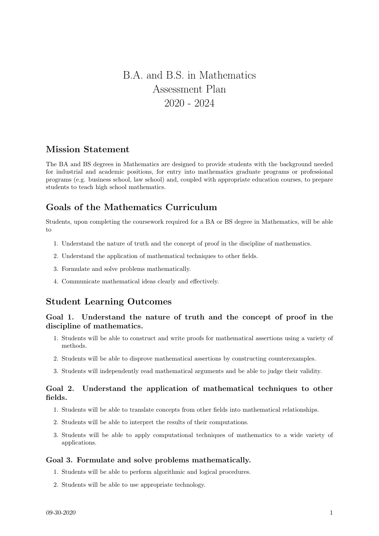# B.A. and B.S. in Mathematics Assessment Plan 2020 - 2024

## Mission Statement

The BA and BS degrees in Mathematics are designed to provide students with the background needed for industrial and academic positions, for entry into mathematics graduate programs or professional programs (e.g. business school, law school) and, coupled with appropriate education courses, to prepare students to teach high school mathematics.

# Goals of the Mathematics Curriculum

Students, upon completing the coursework required for a BA or BS degree in Mathematics, will be able to

- 1. Understand the nature of truth and the concept of proof in the discipline of mathematics.
- 2. Understand the application of mathematical techniques to other fields.
- 3. Formulate and solve problems mathematically.
- 4. Communicate mathematical ideas clearly and effectively.

# Student Learning Outcomes

## Goal 1. Understand the nature of truth and the concept of proof in the discipline of mathematics.

- 1. Students will be able to construct and write proofs for mathematical assertions using a variety of methods.
- 2. Students will be able to disprove mathematical assertions by constructing counterexamples.
- 3. Students will independently read mathematical arguments and be able to judge their validity.

### Goal 2. Understand the application of mathematical techniques to other fields.

- 1. Students will be able to translate concepts from other fields into mathematical relationships.
- 2. Students will be able to interpret the results of their computations.
- 3. Students will be able to apply computational techniques of mathematics to a wide variety of applications.

#### Goal 3. Formulate and solve problems mathematically.

- 1. Students will be able to perform algorithmic and logical procedures.
- 2. Students will be able to use appropriate technology.